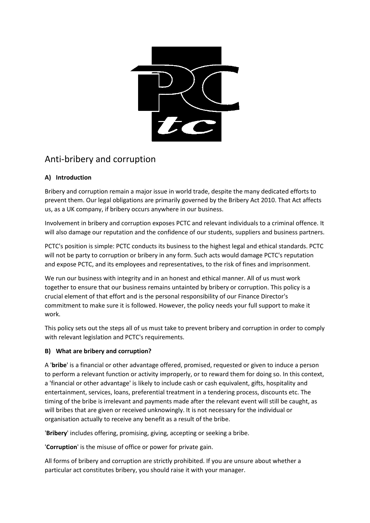

# Anti-bribery and corruption

# **A) Introduction**

Bribery and corruption remain a major issue in world trade, despite the many dedicated efforts to prevent them. Our legal obligations are primarily governed by the Bribery Act 2010. That Act affects us, as a UK company, if bribery occurs anywhere in our business.

Involvement in bribery and corruption exposes PCTC and relevant individuals to a criminal offence. It will also damage our reputation and the confidence of our students, suppliers and business partners.

PCTC's position is simple: PCTC conducts its business to the highest legal and ethical standards. PCTC will not be party to corruption or bribery in any form. Such acts would damage PCTC's reputation and expose PCTC, and its employees and representatives, to the risk of fines and imprisonment.

We run our business with integrity and in an honest and ethical manner. All of us must work together to ensure that our business remains untainted by bribery or corruption. This policy is a crucial element of that effort and is the personal responsibility of our Finance Director's commitment to make sure it is followed. However, the policy needs your full support to make it work.

This policy sets out the steps all of us must take to prevent bribery and corruption in order to comply with relevant legislation and PCTC's requirements.

## **B) What are bribery and corruption?**

A '**bribe**' is a financial or other advantage offered, promised, requested or given to induce a person to perform a relevant function or activity improperly, or to reward them for doing so. In this context, a 'financial or other advantage' is likely to include cash or cash equivalent, gifts, hospitality and entertainment, services, loans, preferential treatment in a tendering process, discounts etc. The timing of the bribe is irrelevant and payments made after the relevant event will still be caught, as will bribes that are given or received unknowingly. It is not necessary for the individual or organisation actually to receive any benefit as a result of the bribe.

'**Bribery**' includes offering, promising, giving, accepting or seeking a bribe.

'**Corruption**' is the misuse of office or power for private gain.

All forms of bribery and corruption are strictly prohibited. If you are unsure about whether a particular act constitutes bribery, you should raise it with your manager.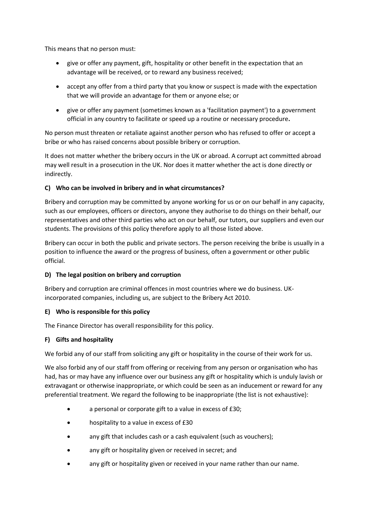This means that no person must:

- give or offer any payment, gift, hospitality or other benefit in the expectation that an advantage will be received, or to reward any business received;
- accept any offer from a third party that you know or suspect is made with the expectation that we will provide an advantage for them or anyone else; or
- give or offer any payment (sometimes known as a 'facilitation payment') to a government official in any country to facilitate or speed up a routine or necessary procedure**.**

No person must threaten or retaliate against another person who has refused to offer or accept a bribe or who has raised concerns about possible bribery or corruption.

It does not matter whether the bribery occurs in the UK or abroad. A corrupt act committed abroad may well result in a prosecution in the UK. Nor does it matter whether the act is done directly or indirectly.

#### **C) Who can be involved in bribery and in what circumstances?**

Bribery and corruption may be committed by anyone working for us or on our behalf in any capacity, such as our employees, officers or directors, anyone they authorise to do things on their behalf, our representatives and other third parties who act on our behalf, our tutors, our suppliers and even our students. The provisions of this policy therefore apply to all those listed above.

Bribery can occur in both the public and private sectors. The person receiving the bribe is usually in a position to influence the award or the progress of business, often a government or other public official.

#### **D) The legal position on bribery and corruption**

Bribery and corruption are criminal offences in most countries where we do business. UKincorporated companies, including us, are subject to the Bribery Act 2010.

#### **E) Who is responsible for this policy**

The Finance Director has overall responsibility for this policy.

#### **F) Gifts and hospitality**

We forbid any of our staff from soliciting any gift or hospitality in the course of their work for us.

We also forbid any of our staff from offering or receiving from any person or organisation who has had, has or may have any influence over our business any gift or hospitality which is unduly lavish or extravagant or otherwise inappropriate, or which could be seen as an inducement or reward for any preferential treatment. We regard the following to be inappropriate (the list is not exhaustive):

- a personal or corporate gift to a value in excess of £30;
- hospitality to a value in excess of £30
- any gift that includes cash or a cash equivalent (such as vouchers);
- any gift or hospitality given or received in secret; and
- any gift or hospitality given or received in your name rather than our name.